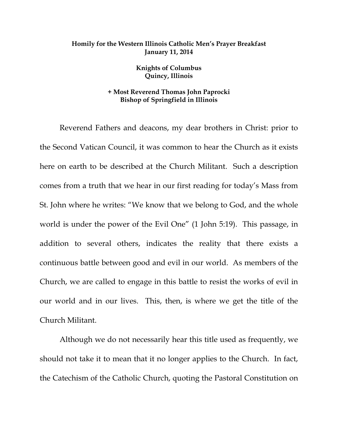## **Homily for the Western Illinois Catholic Men's Prayer Breakfast January 11, 2014**

**Knights of Columbus Quincy, Illinois** 

## **+ Most Reverend Thomas John Paprocki Bishop of Springfield in Illinois**

Reverend Fathers and deacons, my dear brothers in Christ: prior to the Second Vatican Council, it was common to hear the Church as it exists here on earth to be described at the Church Militant. Such a description comes from a truth that we hear in our first reading for today's Mass from St. John where he writes: "We know that we belong to God, and the whole world is under the power of the Evil One" (1 John 5:19). This passage, in addition to several others, indicates the reality that there exists a continuous battle between good and evil in our world. As members of the Church, we are called to engage in this battle to resist the works of evil in our world and in our lives. This, then, is where we get the title of the Church Militant.

Although we do not necessarily hear this title used as frequently, we should not take it to mean that it no longer applies to the Church. In fact, the Catechism of the Catholic Church, quoting the Pastoral Constitution on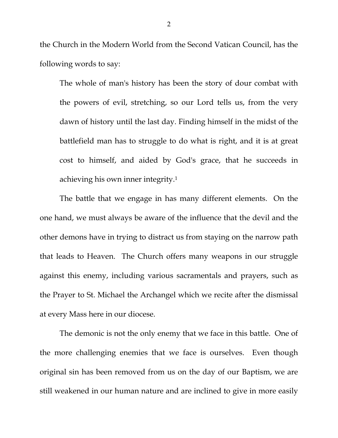the Church in the Modern World from the Second Vatican Council, has the following words to say:

The whole of man's history has been the story of dour combat with the powers of evil, stretching, so our Lord tells us, from the very dawn of history until the last day. Finding himself in the midst of the battlefield man has to struggle to do what is right, and it is at great cost to himself, and aided by God's grace, that he succeeds in achieving his own inner integrity.1

The battle that we engage in has many different elements. On the one hand, we must always be aware of the influence that the devil and the other demons have in trying to distract us from staying on the narrow path that leads to Heaven. The Church offers many weapons in our struggle against this enemy, including various sacramentals and prayers, such as the Prayer to St. Michael the Archangel which we recite after the dismissal at every Mass here in our diocese.

The demonic is not the only enemy that we face in this battle. One of the more challenging enemies that we face is ourselves. Even though original sin has been removed from us on the day of our Baptism, we are still weakened in our human nature and are inclined to give in more easily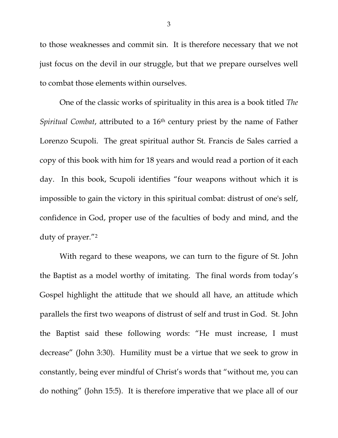to those weaknesses and commit sin. It is therefore necessary that we not just focus on the devil in our struggle, but that we prepare ourselves well to combat those elements within ourselves.

One of the classic works of spirituality in this area is a book titled *The Spiritual Combat*, attributed to a 16th century priest by the name of Father Lorenzo Scupoli. The great spiritual author St. Francis de Sales carried a copy of this book with him for 18 years and would read a portion of it each day. In this book, Scupoli identifies "four weapons without which it is impossible to gain the victory in this spiritual combat: distrust of one's self, confidence in God, proper use of the faculties of body and mind, and the duty of prayer."2

With regard to these weapons, we can turn to the figure of St. John the Baptist as a model worthy of imitating. The final words from today's Gospel highlight the attitude that we should all have, an attitude which parallels the first two weapons of distrust of self and trust in God. St. John the Baptist said these following words: "He must increase, I must decrease" (John 3:30). Humility must be a virtue that we seek to grow in constantly, being ever mindful of Christ's words that "without me, you can do nothing" (John 15:5). It is therefore imperative that we place all of our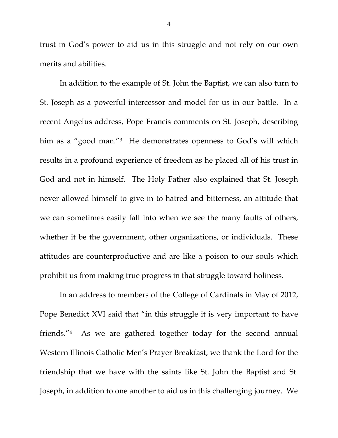trust in God's power to aid us in this struggle and not rely on our own merits and abilities.

In addition to the example of St. John the Baptist, we can also turn to St. Joseph as a powerful intercessor and model for us in our battle. In a recent Angelus address, Pope Francis comments on St. Joseph, describing him as a "good man."<sup>3</sup> He demonstrates openness to God's will which results in a profound experience of freedom as he placed all of his trust in God and not in himself. The Holy Father also explained that St. Joseph never allowed himself to give in to hatred and bitterness, an attitude that we can sometimes easily fall into when we see the many faults of others, whether it be the government, other organizations, or individuals. These attitudes are counterproductive and are like a poison to our souls which prohibit us from making true progress in that struggle toward holiness.

In an address to members of the College of Cardinals in May of 2012, Pope Benedict XVI said that "in this struggle it is very important to have friends."4 As we are gathered together today for the second annual Western Illinois Catholic Men's Prayer Breakfast, we thank the Lord for the friendship that we have with the saints like St. John the Baptist and St. Joseph, in addition to one another to aid us in this challenging journey. We